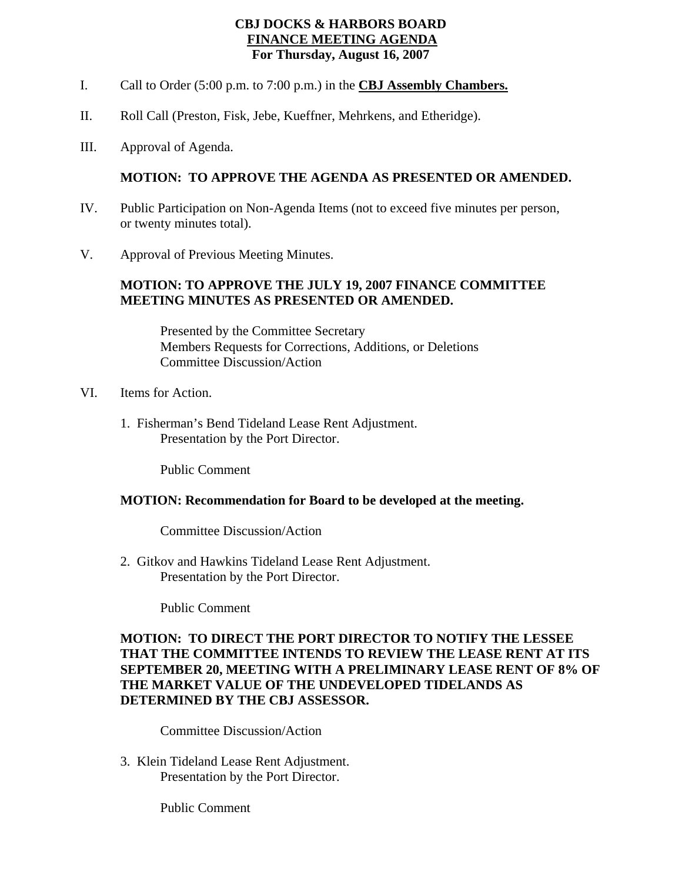# **CBJ DOCKS & HARBORS BOARD FINANCE MEETING AGENDA For Thursday, August 16, 2007**

- I. Call to Order (5:00 p.m. to 7:00 p.m.) in the **CBJ Assembly Chambers.**
- II. Roll Call (Preston, Fisk, Jebe, Kueffner, Mehrkens, and Etheridge).
- III. Approval of Agenda.

# **MOTION: TO APPROVE THE AGENDA AS PRESENTED OR AMENDED.**

- IV. Public Participation on Non-Agenda Items (not to exceed five minutes per person, or twenty minutes total).
- V. Approval of Previous Meeting Minutes.

### **MOTION: TO APPROVE THE JULY 19, 2007 FINANCE COMMITTEE MEETING MINUTES AS PRESENTED OR AMENDED.**

 Presented by the Committee Secretary Members Requests for Corrections, Additions, or Deletions Committee Discussion/Action

- VI. Items for Action.
	- 1. Fisherman's Bend Tideland Lease Rent Adjustment. Presentation by the Port Director.

Public Comment

#### **MOTION: Recommendation for Board to be developed at the meeting.**

Committee Discussion/Action

2. Gitkov and Hawkins Tideland Lease Rent Adjustment. Presentation by the Port Director.

Public Comment

# **MOTION: TO DIRECT THE PORT DIRECTOR TO NOTIFY THE LESSEE THAT THE COMMITTEE INTENDS TO REVIEW THE LEASE RENT AT ITS SEPTEMBER 20, MEETING WITH A PRELIMINARY LEASE RENT OF 8% OF THE MARKET VALUE OF THE UNDEVELOPED TIDELANDS AS DETERMINED BY THE CBJ ASSESSOR.**

Committee Discussion/Action

3. Klein Tideland Lease Rent Adjustment. Presentation by the Port Director.

Public Comment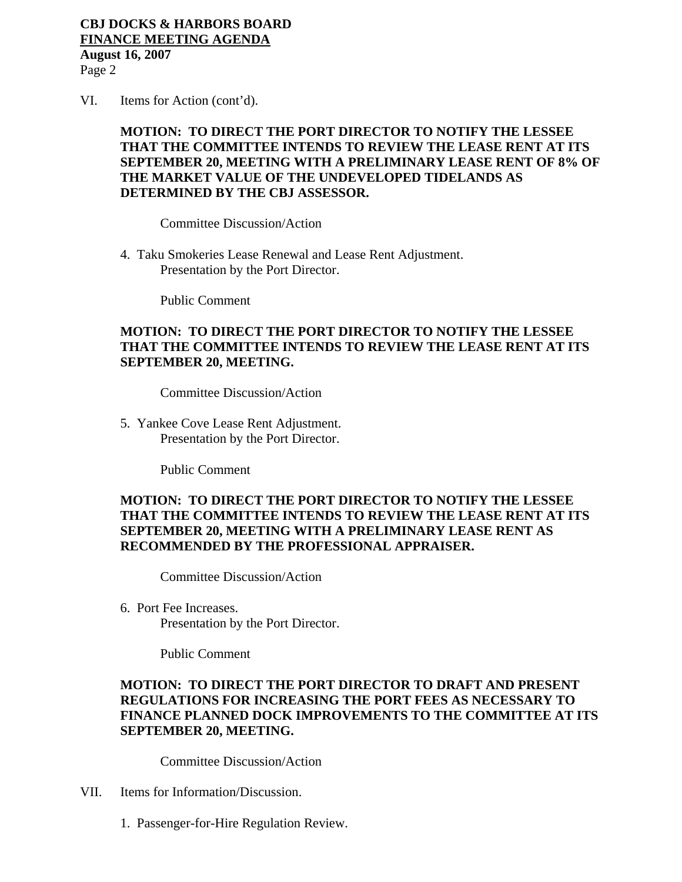# **CBJ DOCKS & HARBORS BOARD FINANCE MEETING AGENDA**

**August 16, 2007**  Page 2

VI. Items for Action (cont'd).

# **MOTION: TO DIRECT THE PORT DIRECTOR TO NOTIFY THE LESSEE THAT THE COMMITTEE INTENDS TO REVIEW THE LEASE RENT AT ITS SEPTEMBER 20, MEETING WITH A PRELIMINARY LEASE RENT OF 8% OF THE MARKET VALUE OF THE UNDEVELOPED TIDELANDS AS DETERMINED BY THE CBJ ASSESSOR.**

Committee Discussion/Action

4. Taku Smokeries Lease Renewal and Lease Rent Adjustment. Presentation by the Port Director.

Public Comment

# **MOTION: TO DIRECT THE PORT DIRECTOR TO NOTIFY THE LESSEE THAT THE COMMITTEE INTENDS TO REVIEW THE LEASE RENT AT ITS SEPTEMBER 20, MEETING.**

Committee Discussion/Action

5. Yankee Cove Lease Rent Adjustment. Presentation by the Port Director.

Public Comment

# **MOTION: TO DIRECT THE PORT DIRECTOR TO NOTIFY THE LESSEE THAT THE COMMITTEE INTENDS TO REVIEW THE LEASE RENT AT ITS SEPTEMBER 20, MEETING WITH A PRELIMINARY LEASE RENT AS RECOMMENDED BY THE PROFESSIONAL APPRAISER.**

Committee Discussion/Action

 6. Port Fee Increases. Presentation by the Port Director.

Public Comment

### **MOTION: TO DIRECT THE PORT DIRECTOR TO DRAFT AND PRESENT REGULATIONS FOR INCREASING THE PORT FEES AS NECESSARY TO FINANCE PLANNED DOCK IMPROVEMENTS TO THE COMMITTEE AT ITS SEPTEMBER 20, MEETING.**

Committee Discussion/Action

- VII. Items for Information/Discussion.
	- 1. Passenger-for-Hire Regulation Review.